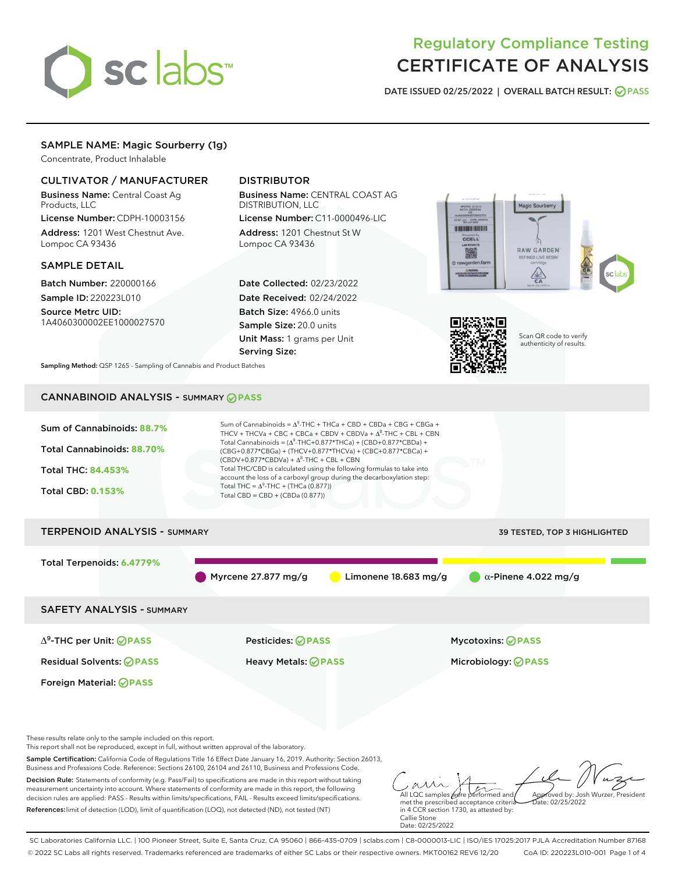

# Regulatory Compliance Testing CERTIFICATE OF ANALYSIS

DATE ISSUED 02/25/2022 | OVERALL BATCH RESULT: @ PASS

## SAMPLE NAME: Magic Sourberry (1g)

Concentrate, Product Inhalable

### CULTIVATOR / MANUFACTURER

Business Name: Central Coast Ag Products, LLC

License Number: CDPH-10003156 Address: 1201 West Chestnut Ave. Lompoc CA 93436

#### SAMPLE DETAIL

Batch Number: 220000166 Sample ID: 220223L010

Source Metrc UID: 1A4060300002EE1000027570

# DISTRIBUTOR

Business Name: CENTRAL COAST AG DISTRIBUTION, LLC License Number: C11-0000496-LIC

Address: 1201 Chestnut St W Lompoc CA 93436

Date Collected: 02/23/2022 Date Received: 02/24/2022 Batch Size: 4966.0 units Sample Size: 20.0 units Unit Mass: 1 grams per Unit Serving Size:





Scan QR code to verify authenticity of results.

Sampling Method: QSP 1265 - Sampling of Cannabis and Product Batches

# CANNABINOID ANALYSIS - SUMMARY **PASS**



Decision Rule: Statements of conformity (e.g. Pass/Fail) to specifications are made in this report without taking measurement uncertainty into account. Where statements of conformity are made in this report, the following decision rules are applied: PASS - Results within limits/specifications, FAIL - Results exceed limits/specifications. References:limit of detection (LOD), limit of quantification (LOQ), not detected (ND), not tested (NT)

All LQC samples were performed and met the prescribed acceptance criteria Approved by: Josh Wurzer, President  $ate: 02/25/2022$ 

in 4 CCR section 1730, as attested by: Callie Stone Date: 02/25/2022

SC Laboratories California LLC. | 100 Pioneer Street, Suite E, Santa Cruz, CA 95060 | 866-435-0709 | sclabs.com | C8-0000013-LIC | ISO/IES 17025:2017 PJLA Accreditation Number 87168 © 2022 SC Labs all rights reserved. Trademarks referenced are trademarks of either SC Labs or their respective owners. MKT00162 REV6 12/20 CoA ID: 220223L010-001 Page 1 of 4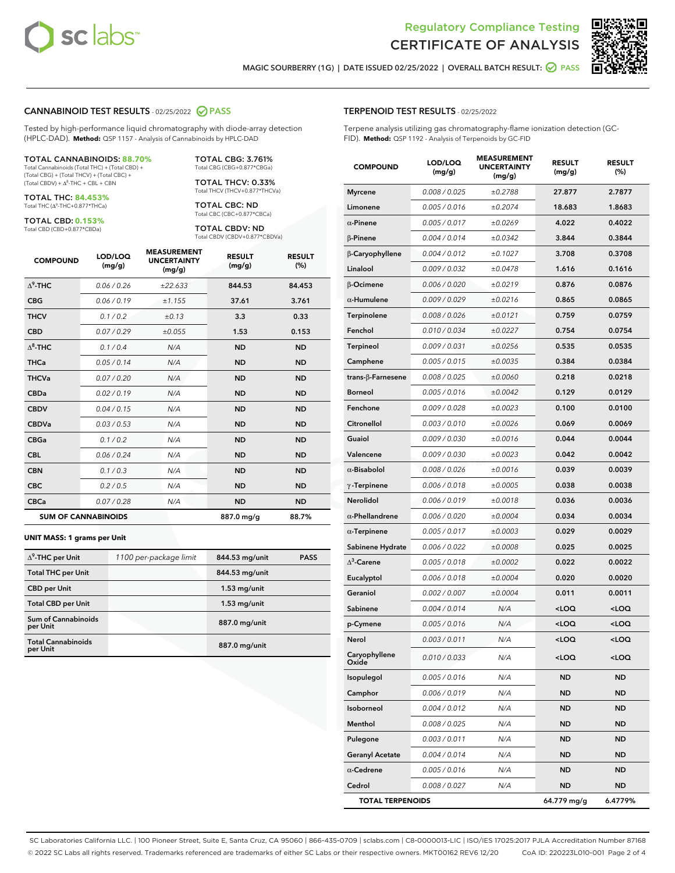

Terpene analysis utilizing gas chromatography-flame ionization detection (GC-



RESULT (%)

MAGIC SOURBERRY (1G) | DATE ISSUED 02/25/2022 | OVERALL BATCH RESULT: @ PASS

TERPENOID TEST RESULTS - 02/25/2022

### CANNABINOID TEST RESULTS - 02/25/2022 2 PASS

Tested by high-performance liquid chromatography with diode-array detection (HPLC-DAD). **Method:** QSP 1157 - Analysis of Cannabinoids by HPLC-DAD

#### TOTAL CANNABINOIDS: **88.70%**

Total Cannabinoids (Total THC) + (Total CBD) + (Total CBG) + (Total THCV) + (Total CBC) +  $(Total CBDV) +  $\Delta^8$ -THC + CBL + CBN$ 

TOTAL THC: **84.453%** Total THC (Δ<sup>9</sup>-THC+0.877\*THCa)

TOTAL CBD: **0.153%**

Total CBD (CBD+0.877\*CBDa)

TOTAL CBG: 3.761% Total CBG (CBG+0.877\*CBGa)

TOTAL THCV: 0.33% Total THCV (THCV+0.877\*THCVa)

TOTAL CBC: ND Total CBC (CBC+0.877\*CBCa)

TOTAL CBDV: ND Total CBDV (CBDV+0.877\*CBDVa)

| <b>COMPOUND</b>  | LOD/LOQ<br>(mg/g)          | <b>MEASUREMENT</b><br><b>UNCERTAINTY</b><br>(mg/g) | <b>RESULT</b><br>(mg/g) | <b>RESULT</b><br>(%) |
|------------------|----------------------------|----------------------------------------------------|-------------------------|----------------------|
| $\Lambda^9$ -THC | 0.06 / 0.26                | ±22.633                                            | 844.53                  | 84.453               |
| <b>CBG</b>       | 0.06/0.19                  | ± 1.155                                            | 37.61                   | 3.761                |
| <b>THCV</b>      | 0.1 / 0.2                  | ±0.13                                              | 3.3                     | 0.33                 |
| <b>CBD</b>       | 0.07/0.29                  | ±0.055                                             | 1.53                    | 0.153                |
| $\Delta^8$ -THC  | 0.1 / 0.4                  | N/A                                                | <b>ND</b>               | <b>ND</b>            |
| <b>THCa</b>      | 0.05/0.14                  | N/A                                                | <b>ND</b>               | <b>ND</b>            |
| <b>THCVa</b>     | 0.07/0.20                  | N/A                                                | <b>ND</b>               | <b>ND</b>            |
| <b>CBDa</b>      | 0.02/0.19                  | N/A                                                | <b>ND</b>               | <b>ND</b>            |
| <b>CBDV</b>      | 0.04 / 0.15                | N/A                                                | <b>ND</b>               | <b>ND</b>            |
| <b>CBDVa</b>     | 0.03/0.53                  | N/A                                                | <b>ND</b>               | <b>ND</b>            |
| <b>CBGa</b>      | 0.1/0.2                    | N/A                                                | <b>ND</b>               | <b>ND</b>            |
| <b>CBL</b>       | 0.06 / 0.24                | N/A                                                | <b>ND</b>               | <b>ND</b>            |
| <b>CBN</b>       | 0.1/0.3                    | N/A                                                | <b>ND</b>               | <b>ND</b>            |
| <b>CBC</b>       | 0.2 / 0.5                  | N/A                                                | <b>ND</b>               | <b>ND</b>            |
| <b>CBCa</b>      | 0.07/0.28                  | N/A                                                | <b>ND</b>               | <b>ND</b>            |
|                  | <b>SUM OF CANNABINOIDS</b> |                                                    | 887.0 mg/g              | 88.7%                |

#### **UNIT MASS: 1 grams per Unit**

| $\Delta^9$ -THC per Unit               | 1100 per-package limit | 844.53 mg/unit | <b>PASS</b> |
|----------------------------------------|------------------------|----------------|-------------|
| <b>Total THC per Unit</b>              |                        | 844.53 mg/unit |             |
| <b>CBD per Unit</b>                    |                        | $1.53$ mg/unit |             |
| <b>Total CBD per Unit</b>              |                        | $1.53$ mg/unit |             |
| <b>Sum of Cannabinoids</b><br>per Unit |                        | 887.0 mg/unit  |             |
| <b>Total Cannabinoids</b><br>per Unit  |                        | 887.0 mg/unit  |             |

| FID). Method: QSP 1192 - Analysis of Terpenoids by GC-FID |                   |                                                    |                         |                      |
|-----------------------------------------------------------|-------------------|----------------------------------------------------|-------------------------|----------------------|
| <b>COMPOUND</b>                                           | LOD/LOQ<br>(mg/g) | <b>MEASUREMENT</b><br><b>UNCERTAINTY</b><br>(mg/g) | <b>RESULT</b><br>(mg/g) | <b>RESULT</b><br>(%) |
| <b>Myrcene</b>                                            | 0.008 / 0.025     | ±0.2788                                            | 27.877                  | 2.7877               |
| Limonene                                                  | 0.005 / 0.016     | ±0.2074                                            | 18.683                  | 1.8683               |
| $\alpha$ -Pinene                                          | 0.005 / 0.017     | ±0.0269                                            | 4.022                   | 0.4022               |
| <b>B-Pinene</b>                                           | 0.004/0.014       | ±0.0342                                            | 3.844                   | 0.3844               |
| β-Caryophyllene                                           | 0.004 / 0.012     | ±0.1027                                            | 3.708                   | 0.3708               |
| Linalool                                                  | 0.009/0.032       | ±0.0478                                            | 1.616                   | 0.1616               |
| <b>B-Ocimene</b>                                          | 0.006 / 0.020     | ±0.0219                                            | 0.876                   | 0.0876               |
| $\alpha$ -Humulene                                        | 0.009/0.029       | ±0.0216                                            | 0.865                   | 0.0865               |
| Terpinolene                                               | 0.008 / 0.026     | ±0.0121                                            | 0.759                   | 0.0759               |
| Fenchol                                                   | 0.010 / 0.034     | ±0.0227                                            | 0.754                   | 0.0754               |
| <b>Terpineol</b>                                          | 0.009/0.031       | ±0.0256                                            | 0.535                   | 0.0535               |
| Camphene                                                  | 0.005 / 0.015     | ±0.0035                                            | 0.384                   | 0.0384               |
| trans- $\beta$ -Farnesene                                 | 0.008 / 0.025     | ±0.0060                                            | 0.218                   | 0.0218               |
| <b>Borneol</b>                                            | 0.005 / 0.016     | ±0.0042                                            | 0.129                   | 0.0129               |
|                                                           |                   |                                                    |                         |                      |

| trans- $\beta$ -Farnesene | 0.008 / 0.025 | ±0.0060 | 0.218                                           | 0.0218              |
|---------------------------|---------------|---------|-------------------------------------------------|---------------------|
| Borneol                   | 0.005 / 0.016 | ±0.0042 | 0.129                                           | 0.0129              |
| Fenchone                  | 0.009 / 0.028 | ±0.0023 | 0.100                                           | 0.0100              |
| Citronellol               | 0.003 / 0.010 | ±0.0026 | 0.069                                           | 0.0069              |
| Guaiol                    | 0.009 / 0.030 | ±0.0016 | 0.044                                           | 0.0044              |
| Valencene                 | 0.009 / 0.030 | ±0.0023 | 0.042                                           | 0.0042              |
| $\alpha$ -Bisabolol       | 0.008 / 0.026 | ±0.0016 | 0.039                                           | 0.0039              |
| $\gamma$ -Terpinene       | 0.006 / 0.018 | ±0.0005 | 0.038                                           | 0.0038              |
| <b>Nerolidol</b>          | 0.006 / 0.019 | ±0.0018 | 0.036                                           | 0.0036              |
| $\alpha$ -Phellandrene    | 0.006 / 0.020 | ±0.0004 | 0.034                                           | 0.0034              |
| $\alpha$ -Terpinene       | 0.005 / 0.017 | ±0.0003 | 0.029                                           | 0.0029              |
| Sabinene Hydrate          | 0.006 / 0.022 | ±0.0008 | 0.025                                           | 0.0025              |
| $\Delta^3$ -Carene        | 0.005 / 0.018 | ±0.0002 | 0.022                                           | 0.0022              |
| Eucalyptol                | 0.006 / 0.018 | ±0.0004 | 0.020                                           | 0.0020              |
| Geraniol                  | 0.002 / 0.007 | ±0.0004 | 0.011                                           | 0.0011              |
| Sabinene                  | 0.004 / 0.014 | N/A     | $<$ LOQ                                         | <loq< td=""></loq<> |
| p-Cymene                  | 0.005 / 0.016 | N/A     | $<$ LOQ                                         | <loq< td=""></loq<> |
| Nerol                     | 0.003 / 0.011 | N/A     | <loq< td=""><td><loq< td=""></loq<></td></loq<> | <loq< td=""></loq<> |
| Caryophyllene<br>Oxide    | 0.010 / 0.033 | N/A     | $<$ LOQ                                         | <loq< td=""></loq<> |
| Isopulegol                | 0.005 / 0.016 | N/A     | <b>ND</b>                                       | <b>ND</b>           |
| Camphor                   | 0.006 / 0.019 | N/A     | <b>ND</b>                                       | <b>ND</b>           |
| Isoborneol                | 0.004 / 0.012 | N/A     | <b>ND</b>                                       | ND                  |
| Menthol                   | 0.008 / 0.025 | N/A     | ND                                              | ND                  |
| Pulegone                  | 0.003 / 0.011 | N/A     | <b>ND</b>                                       | ND                  |
| <b>Geranyl Acetate</b>    | 0.004 / 0.014 | N/A     | <b>ND</b>                                       | <b>ND</b>           |
| $\alpha$ -Cedrene         | 0.005 / 0.016 | N/A     | <b>ND</b>                                       | <b>ND</b>           |
| Cedrol                    | 0.008 / 0.027 | N/A     | <b>ND</b>                                       | ND                  |
| <b>TOTAL TERPENOIDS</b>   |               |         | 64.779 mg/g                                     | 6.4779%             |

SC Laboratories California LLC. | 100 Pioneer Street, Suite E, Santa Cruz, CA 95060 | 866-435-0709 | sclabs.com | C8-0000013-LIC | ISO/IES 17025:2017 PJLA Accreditation Number 87168 © 2022 SC Labs all rights reserved. Trademarks referenced are trademarks of either SC Labs or their respective owners. MKT00162 REV6 12/20 CoA ID: 220223L010-001 Page 2 of 4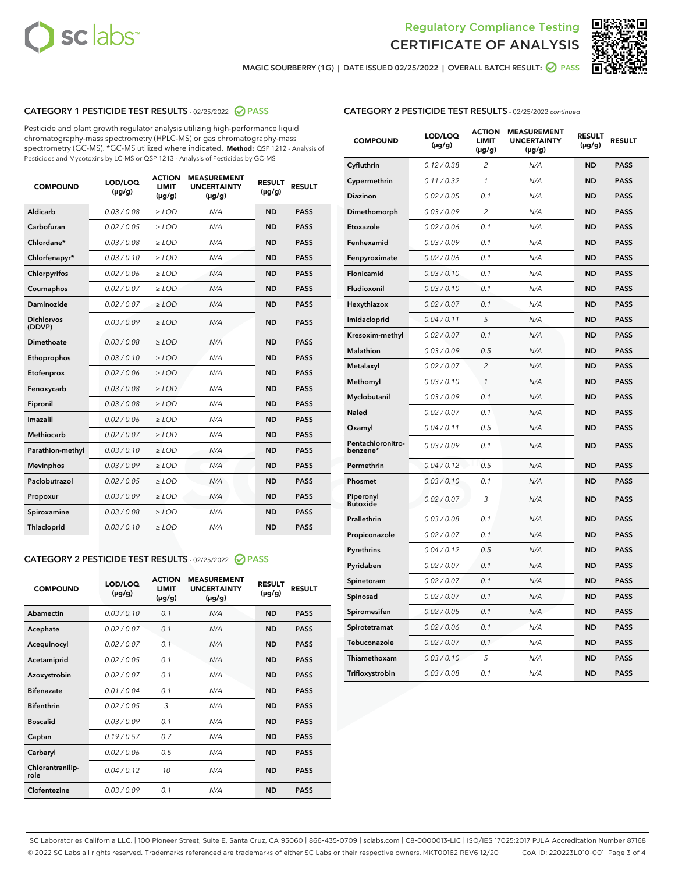



MAGIC SOURBERRY (1G) | DATE ISSUED 02/25/2022 | OVERALL BATCH RESULT: @ PASS

# CATEGORY 1 PESTICIDE TEST RESULTS - 02/25/2022 2 PASS

Pesticide and plant growth regulator analysis utilizing high-performance liquid chromatography-mass spectrometry (HPLC-MS) or gas chromatography-mass spectrometry (GC-MS). \*GC-MS utilized where indicated. **Method:** QSP 1212 - Analysis of Pesticides and Mycotoxins by LC-MS or QSP 1213 - Analysis of Pesticides by GC-MS

| 0.03 / 0.08<br>Aldicarb<br>$\ge$ LOD<br>N/A<br><b>ND</b><br><b>PASS</b><br>Carbofuran<br>0.02 / 0.05<br><b>ND</b><br><b>PASS</b><br>$>$ LOD<br>N/A<br>Chlordane*<br>0.03 / 0.08<br>N/A<br><b>ND</b><br><b>PASS</b><br>$\ge$ LOD<br><b>PASS</b><br>Chlorfenapyr*<br>0.03/0.10<br>$>$ LOD<br>N/A<br><b>ND</b><br>0.02 / 0.06<br>$\geq$ LOD<br>N/A<br><b>ND</b><br><b>PASS</b><br>Chlorpyrifos<br>0.02 / 0.07<br>N/A<br><b>ND</b><br>Coumaphos<br>$\ge$ LOD<br><b>PASS</b><br>Daminozide<br>0.02 / 0.07<br>N/A<br><b>ND</b><br><b>PASS</b><br>$\ge$ LOD<br><b>Dichlorvos</b><br>0.03/0.09<br>N/A<br><b>ND</b><br><b>PASS</b><br>$>$ LOD<br>(DDVP)<br><b>Dimethoate</b><br>0.03 / 0.08<br>$>$ LOD<br>N/A<br><b>ND</b><br><b>PASS</b><br>0.03/0.10<br><b>ND</b><br><b>PASS</b><br>Ethoprophos<br>$\ge$ LOD<br>N/A<br>0.02 / 0.06<br>$\ge$ LOD<br>N/A<br><b>ND</b><br><b>PASS</b><br>Etofenprox<br>0.03/0.08<br>N/A<br><b>ND</b><br><b>PASS</b><br>Fenoxycarb<br>$>$ LOD<br>0.03 / 0.08<br>N/A<br><b>ND</b><br><b>PASS</b><br>Fipronil<br>$\ge$ LOD<br>Imazalil<br>0.02 / 0.06<br>N/A<br><b>ND</b><br>$\ge$ LOD<br><b>PASS</b><br><b>Methiocarb</b><br>0.02 / 0.07<br>$\ge$ LOD<br>N/A<br><b>ND</b><br><b>PASS</b><br>0.03/0.10<br>N/A<br><b>ND</b><br><b>PASS</b><br>Parathion-methyl<br>$\ge$ LOD<br>0.03/0.09<br>N/A<br><b>ND</b><br><b>Mevinphos</b><br>$\ge$ LOD<br><b>PASS</b><br>Paclobutrazol<br>N/A<br><b>ND</b><br><b>PASS</b><br>0.02 / 0.05<br>$\ge$ LOD<br>0.03/0.09<br><b>ND</b><br><b>PASS</b><br>$>$ LOD<br>N/A<br>Propoxur<br>0.03/0.08<br>$\ge$ LOD<br><b>ND</b><br><b>PASS</b><br>Spiroxamine<br>N/A<br>0.03/0.10<br>Thiacloprid<br>$>$ LOD<br>N/A<br><b>ND</b><br><b>PASS</b> | <b>COMPOUND</b> | LOD/LOQ<br>$(\mu g/g)$ | <b>ACTION</b><br><b>LIMIT</b><br>$(\mu g/g)$ | <b>MEASUREMENT</b><br><b>UNCERTAINTY</b><br>$(\mu g/g)$ | <b>RESULT</b><br>$(\mu g/g)$ | <b>RESULT</b> |
|---------------------------------------------------------------------------------------------------------------------------------------------------------------------------------------------------------------------------------------------------------------------------------------------------------------------------------------------------------------------------------------------------------------------------------------------------------------------------------------------------------------------------------------------------------------------------------------------------------------------------------------------------------------------------------------------------------------------------------------------------------------------------------------------------------------------------------------------------------------------------------------------------------------------------------------------------------------------------------------------------------------------------------------------------------------------------------------------------------------------------------------------------------------------------------------------------------------------------------------------------------------------------------------------------------------------------------------------------------------------------------------------------------------------------------------------------------------------------------------------------------------------------------------------------------------------------------------------------------------------------------------------------------------------------------------------|-----------------|------------------------|----------------------------------------------|---------------------------------------------------------|------------------------------|---------------|
|                                                                                                                                                                                                                                                                                                                                                                                                                                                                                                                                                                                                                                                                                                                                                                                                                                                                                                                                                                                                                                                                                                                                                                                                                                                                                                                                                                                                                                                                                                                                                                                                                                                                                             |                 |                        |                                              |                                                         |                              |               |
|                                                                                                                                                                                                                                                                                                                                                                                                                                                                                                                                                                                                                                                                                                                                                                                                                                                                                                                                                                                                                                                                                                                                                                                                                                                                                                                                                                                                                                                                                                                                                                                                                                                                                             |                 |                        |                                              |                                                         |                              |               |
|                                                                                                                                                                                                                                                                                                                                                                                                                                                                                                                                                                                                                                                                                                                                                                                                                                                                                                                                                                                                                                                                                                                                                                                                                                                                                                                                                                                                                                                                                                                                                                                                                                                                                             |                 |                        |                                              |                                                         |                              |               |
|                                                                                                                                                                                                                                                                                                                                                                                                                                                                                                                                                                                                                                                                                                                                                                                                                                                                                                                                                                                                                                                                                                                                                                                                                                                                                                                                                                                                                                                                                                                                                                                                                                                                                             |                 |                        |                                              |                                                         |                              |               |
|                                                                                                                                                                                                                                                                                                                                                                                                                                                                                                                                                                                                                                                                                                                                                                                                                                                                                                                                                                                                                                                                                                                                                                                                                                                                                                                                                                                                                                                                                                                                                                                                                                                                                             |                 |                        |                                              |                                                         |                              |               |
|                                                                                                                                                                                                                                                                                                                                                                                                                                                                                                                                                                                                                                                                                                                                                                                                                                                                                                                                                                                                                                                                                                                                                                                                                                                                                                                                                                                                                                                                                                                                                                                                                                                                                             |                 |                        |                                              |                                                         |                              |               |
|                                                                                                                                                                                                                                                                                                                                                                                                                                                                                                                                                                                                                                                                                                                                                                                                                                                                                                                                                                                                                                                                                                                                                                                                                                                                                                                                                                                                                                                                                                                                                                                                                                                                                             |                 |                        |                                              |                                                         |                              |               |
|                                                                                                                                                                                                                                                                                                                                                                                                                                                                                                                                                                                                                                                                                                                                                                                                                                                                                                                                                                                                                                                                                                                                                                                                                                                                                                                                                                                                                                                                                                                                                                                                                                                                                             |                 |                        |                                              |                                                         |                              |               |
|                                                                                                                                                                                                                                                                                                                                                                                                                                                                                                                                                                                                                                                                                                                                                                                                                                                                                                                                                                                                                                                                                                                                                                                                                                                                                                                                                                                                                                                                                                                                                                                                                                                                                             |                 |                        |                                              |                                                         |                              |               |
|                                                                                                                                                                                                                                                                                                                                                                                                                                                                                                                                                                                                                                                                                                                                                                                                                                                                                                                                                                                                                                                                                                                                                                                                                                                                                                                                                                                                                                                                                                                                                                                                                                                                                             |                 |                        |                                              |                                                         |                              |               |
|                                                                                                                                                                                                                                                                                                                                                                                                                                                                                                                                                                                                                                                                                                                                                                                                                                                                                                                                                                                                                                                                                                                                                                                                                                                                                                                                                                                                                                                                                                                                                                                                                                                                                             |                 |                        |                                              |                                                         |                              |               |
|                                                                                                                                                                                                                                                                                                                                                                                                                                                                                                                                                                                                                                                                                                                                                                                                                                                                                                                                                                                                                                                                                                                                                                                                                                                                                                                                                                                                                                                                                                                                                                                                                                                                                             |                 |                        |                                              |                                                         |                              |               |
|                                                                                                                                                                                                                                                                                                                                                                                                                                                                                                                                                                                                                                                                                                                                                                                                                                                                                                                                                                                                                                                                                                                                                                                                                                                                                                                                                                                                                                                                                                                                                                                                                                                                                             |                 |                        |                                              |                                                         |                              |               |
|                                                                                                                                                                                                                                                                                                                                                                                                                                                                                                                                                                                                                                                                                                                                                                                                                                                                                                                                                                                                                                                                                                                                                                                                                                                                                                                                                                                                                                                                                                                                                                                                                                                                                             |                 |                        |                                              |                                                         |                              |               |
|                                                                                                                                                                                                                                                                                                                                                                                                                                                                                                                                                                                                                                                                                                                                                                                                                                                                                                                                                                                                                                                                                                                                                                                                                                                                                                                                                                                                                                                                                                                                                                                                                                                                                             |                 |                        |                                              |                                                         |                              |               |
|                                                                                                                                                                                                                                                                                                                                                                                                                                                                                                                                                                                                                                                                                                                                                                                                                                                                                                                                                                                                                                                                                                                                                                                                                                                                                                                                                                                                                                                                                                                                                                                                                                                                                             |                 |                        |                                              |                                                         |                              |               |
|                                                                                                                                                                                                                                                                                                                                                                                                                                                                                                                                                                                                                                                                                                                                                                                                                                                                                                                                                                                                                                                                                                                                                                                                                                                                                                                                                                                                                                                                                                                                                                                                                                                                                             |                 |                        |                                              |                                                         |                              |               |
|                                                                                                                                                                                                                                                                                                                                                                                                                                                                                                                                                                                                                                                                                                                                                                                                                                                                                                                                                                                                                                                                                                                                                                                                                                                                                                                                                                                                                                                                                                                                                                                                                                                                                             |                 |                        |                                              |                                                         |                              |               |
|                                                                                                                                                                                                                                                                                                                                                                                                                                                                                                                                                                                                                                                                                                                                                                                                                                                                                                                                                                                                                                                                                                                                                                                                                                                                                                                                                                                                                                                                                                                                                                                                                                                                                             |                 |                        |                                              |                                                         |                              |               |
|                                                                                                                                                                                                                                                                                                                                                                                                                                                                                                                                                                                                                                                                                                                                                                                                                                                                                                                                                                                                                                                                                                                                                                                                                                                                                                                                                                                                                                                                                                                                                                                                                                                                                             |                 |                        |                                              |                                                         |                              |               |
|                                                                                                                                                                                                                                                                                                                                                                                                                                                                                                                                                                                                                                                                                                                                                                                                                                                                                                                                                                                                                                                                                                                                                                                                                                                                                                                                                                                                                                                                                                                                                                                                                                                                                             |                 |                        |                                              |                                                         |                              |               |

# CATEGORY 2 PESTICIDE TEST RESULTS - 02/25/2022 2 PASS

| <b>COMPOUND</b>          | LOD/LOO<br>$(\mu g/g)$ | <b>ACTION</b><br>LIMIT<br>$(\mu g/g)$ | <b>MEASUREMENT</b><br><b>UNCERTAINTY</b><br>$(\mu g/g)$ | <b>RESULT</b><br>$(\mu g/g)$ | <b>RESULT</b> |  |
|--------------------------|------------------------|---------------------------------------|---------------------------------------------------------|------------------------------|---------------|--|
| Abamectin                | 0.03/0.10              | 0.1                                   | N/A                                                     | <b>ND</b>                    | <b>PASS</b>   |  |
| Acephate                 | 0.02/0.07              | 0.1                                   | N/A                                                     | <b>ND</b>                    | <b>PASS</b>   |  |
| Acequinocyl              | 0.02/0.07              | 0.1                                   | N/A                                                     | <b>ND</b>                    | <b>PASS</b>   |  |
| Acetamiprid              | 0.02/0.05              | 0.1                                   | N/A                                                     | <b>ND</b>                    | <b>PASS</b>   |  |
| Azoxystrobin             | 0.02/0.07              | 0.1                                   | N/A                                                     | <b>ND</b>                    | <b>PASS</b>   |  |
| <b>Bifenazate</b>        | 0.01/0.04              | 0.1                                   | N/A                                                     | <b>ND</b>                    | <b>PASS</b>   |  |
| <b>Bifenthrin</b>        | 0.02/0.05              | 3                                     | N/A                                                     | <b>ND</b>                    | <b>PASS</b>   |  |
| <b>Boscalid</b>          | 0.03/0.09              | 0.1                                   | N/A                                                     | <b>ND</b>                    | <b>PASS</b>   |  |
| Captan                   | 0.19/0.57              | 07                                    | N/A                                                     | <b>ND</b>                    | <b>PASS</b>   |  |
| Carbaryl                 | 0.02/0.06              | 0.5                                   | N/A                                                     | <b>ND</b>                    | <b>PASS</b>   |  |
| Chlorantranilip-<br>role | 0.04/0.12              | 10                                    | N/A                                                     | <b>ND</b>                    | <b>PASS</b>   |  |
| Clofentezine             | 0.03/0.09              | 0.1                                   | N/A                                                     | <b>ND</b>                    | <b>PASS</b>   |  |

# CATEGORY 2 PESTICIDE TEST RESULTS - 02/25/2022 continued

| <b>COMPOUND</b>               | LOD/LOQ<br>(µg/g) | <b>ACTION</b><br><b>LIMIT</b><br>(µg/g) | <b>MEASUREMENT</b><br><b>UNCERTAINTY</b><br>$(\mu g/g)$ | <b>RESULT</b><br>(µg/g) | <b>RESULT</b> |
|-------------------------------|-------------------|-----------------------------------------|---------------------------------------------------------|-------------------------|---------------|
| Cyfluthrin                    | 0.12 / 0.38       | 2                                       | N/A                                                     | <b>ND</b>               | <b>PASS</b>   |
| Cypermethrin                  | 0.11 / 0.32       | $\mathbf{1}$                            | N/A                                                     | <b>ND</b>               | <b>PASS</b>   |
| Diazinon                      | 0.02 / 0.05       | 0.1                                     | N/A                                                     | <b>ND</b>               | <b>PASS</b>   |
| Dimethomorph                  | 0.03 / 0.09       | 2                                       | N/A                                                     | ND                      | <b>PASS</b>   |
| Etoxazole                     | 0.02 / 0.06       | 0.1                                     | N/A                                                     | ND                      | <b>PASS</b>   |
| Fenhexamid                    | 0.03 / 0.09       | 0.1                                     | N/A                                                     | <b>ND</b>               | <b>PASS</b>   |
| Fenpyroximate                 | 0.02 / 0.06       | 0.1                                     | N/A                                                     | <b>ND</b>               | <b>PASS</b>   |
| Flonicamid                    | 0.03 / 0.10       | 0.1                                     | N/A                                                     | <b>ND</b>               | <b>PASS</b>   |
| Fludioxonil                   | 0.03 / 0.10       | 0.1                                     | N/A                                                     | <b>ND</b>               | PASS          |
| Hexythiazox                   | 0.02 / 0.07       | 0.1                                     | N/A                                                     | <b>ND</b>               | <b>PASS</b>   |
| Imidacloprid                  | 0.04 / 0.11       | 5                                       | N/A                                                     | <b>ND</b>               | <b>PASS</b>   |
| Kresoxim-methyl               | 0.02 / 0.07       | 0.1                                     | N/A                                                     | ND                      | PASS          |
| <b>Malathion</b>              | 0.03 / 0.09       | 0.5                                     | N/A                                                     | <b>ND</b>               | <b>PASS</b>   |
| Metalaxyl                     | 0.02 / 0.07       | 2                                       | N/A                                                     | <b>ND</b>               | <b>PASS</b>   |
| Methomyl                      | 0.03 / 0.10       | $\mathbf{1}$                            | N/A                                                     | <b>ND</b>               | PASS          |
| Myclobutanil                  | 0.03 / 0.09       | 0.1                                     | N/A                                                     | <b>ND</b>               | <b>PASS</b>   |
| Naled                         | 0.02 / 0.07       | 0.1                                     | N/A                                                     | <b>ND</b>               | <b>PASS</b>   |
| Oxamyl                        | 0.04 / 0.11       | 0.5                                     | N/A                                                     | ND                      | PASS          |
| Pentachloronitro-<br>benzene* | 0.03 / 0.09       | 0.1                                     | N/A                                                     | <b>ND</b>               | <b>PASS</b>   |
| Permethrin                    | 0.04/0.12         | 0.5                                     | N/A                                                     | <b>ND</b>               | <b>PASS</b>   |
| Phosmet                       | 0.03 / 0.10       | 0.1                                     | N/A                                                     | ND                      | <b>PASS</b>   |
| Piperonyl<br><b>Butoxide</b>  | 0.02 / 0.07       | 3                                       | N/A                                                     | <b>ND</b>               | <b>PASS</b>   |
| Prallethrin                   | 0.03 / 0.08       | 0.1                                     | N/A                                                     | <b>ND</b>               | <b>PASS</b>   |
| Propiconazole                 | 0.02 / 0.07       | 0.1                                     | N/A                                                     | <b>ND</b>               | <b>PASS</b>   |
| Pyrethrins                    | 0.04 / 0.12       | 0.5                                     | N/A                                                     | <b>ND</b>               | <b>PASS</b>   |
| Pyridaben                     | 0.02 / 0.07       | 0.1                                     | N/A                                                     | <b>ND</b>               | PASS          |
| Spinetoram                    | 0.02 / 0.07       | 0.1                                     | N/A                                                     | ND                      | PASS          |
| Spinosad                      | 0.02 / 0.07       | 0.1                                     | N/A                                                     | ND                      | PASS          |
| Spiromesifen                  | 0.02 / 0.05       | 0.1                                     | N/A                                                     | ND                      | PASS          |
| Spirotetramat                 | 0.02 / 0.06       | 0.1                                     | N/A                                                     | ND                      | PASS          |
| Tebuconazole                  | 0.02 / 0.07       | 0.1                                     | N/A                                                     | <b>ND</b>               | <b>PASS</b>   |
| Thiamethoxam                  | 0.03 / 0.10       | 5                                       | N/A                                                     | ND                      | <b>PASS</b>   |
| Trifloxystrobin               | 0.03 / 0.08       | 0.1                                     | N/A                                                     | ND                      | <b>PASS</b>   |

SC Laboratories California LLC. | 100 Pioneer Street, Suite E, Santa Cruz, CA 95060 | 866-435-0709 | sclabs.com | C8-0000013-LIC | ISO/IES 17025:2017 PJLA Accreditation Number 87168 © 2022 SC Labs all rights reserved. Trademarks referenced are trademarks of either SC Labs or their respective owners. MKT00162 REV6 12/20 CoA ID: 220223L010-001 Page 3 of 4